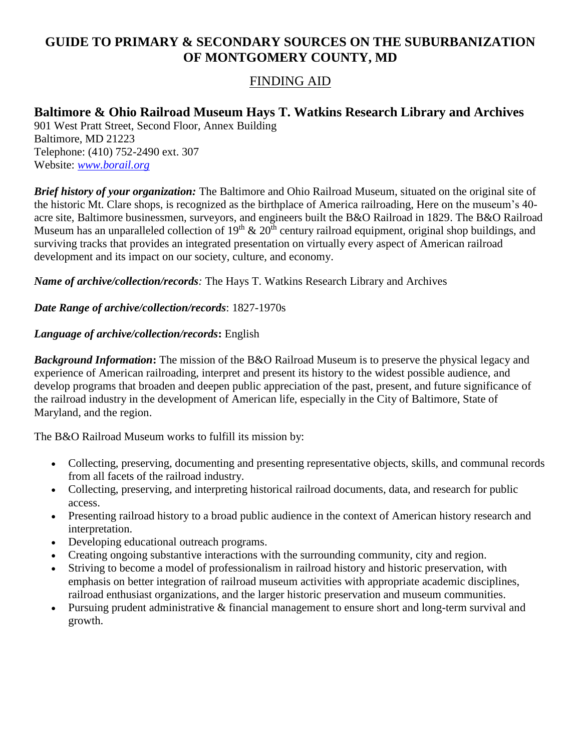## **GUIDE TO PRIMARY & SECONDARY SOURCES ON THE SUBURBANIZATION OF MONTGOMERY COUNTY, MD**

### FINDING AID

# **Baltimore & Ohio Railroad Museum Hays T. Watkins Research Library and Archives**

901 West Pratt Street, Second Floor, Annex Building Baltimore, MD 21223 Telephone: (410) 752-2490 ext. 307 Website: *[www.borail.org](http://www.borail.org/)*

*Brief history of your organization:* The Baltimore and Ohio Railroad Museum, situated on the original site of the historic Mt. Clare shops, is recognized as the birthplace of America railroading, Here on the museum's 40 acre site, Baltimore businessmen, surveyors, and engineers built the B&O Railroad in 1829. The B&O Railroad Museum has an unparalleled collection of  $19<sup>th</sup> \& 20<sup>th</sup>$  century railroad equipment, original shop buildings, and surviving tracks that provides an integrated presentation on virtually every aspect of American railroad development and its impact on our society, culture, and economy.

*Name of archive/collection/records:* The Hays T. Watkins Research Library and Archives

*Date Range of archive/collection/records*: 1827-1970s

#### *Language of archive/collection/records***:** English

*Background Information***:** The mission of the B&O Railroad Museum is to preserve the physical legacy and experience of American railroading, interpret and present its history to the widest possible audience, and develop programs that broaden and deepen public appreciation of the past, present, and future significance of the railroad industry in the development of American life, especially in the City of Baltimore, State of Maryland, and the region.

The B&O Railroad Museum works to fulfill its mission by:

- Collecting, preserving, documenting and presenting representative objects, skills, and communal records from all facets of the railroad industry.
- Collecting, preserving, and interpreting historical railroad documents, data, and research for public access.
- Presenting railroad history to a broad public audience in the context of American history research and interpretation.
- Developing educational outreach programs.
- Creating ongoing substantive interactions with the surrounding community, city and region.
- Striving to become a model of professionalism in railroad history and historic preservation, with emphasis on better integration of railroad museum activities with appropriate academic disciplines, railroad enthusiast organizations, and the larger historic preservation and museum communities.
- Pursuing prudent administrative & financial management to ensure short and long-term survival and growth.